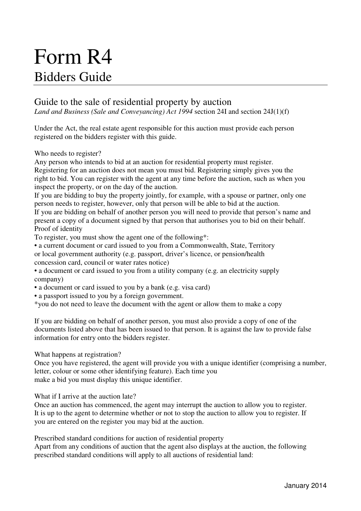# Form R4 Bidders Guide

# Guide to the sale of residential property by auction

*Land and Business (Sale and Conveyancing) Act 1994* section 24I and section 24J(1)(f)

Under the Act, the real estate agent responsible for this auction must provide each person registered on the bidders register with this guide.

Who needs to register?

Any person who intends to bid at an auction for residential property must register. Registering for an auction does not mean you must bid. Registering simply gives you the right to bid. You can register with the agent at any time before the auction, such as when you inspect the property, or on the day of the auction.

If you are bidding to buy the property jointly, for example, with a spouse or partner, only one person needs to register, however, only that person will be able to bid at the auction.

If you are bidding on behalf of another person you will need to provide that person's name and present a copy of a document signed by that person that authorises you to bid on their behalf. Proof of identity

To register, you must show the agent one of the following\*:

• a current document or card issued to you from a Commonwealth, State, Territory or local government authority (e.g. passport, driver's licence, or pension/health concession card, council or water rates notice)

• a document or card issued to you from a utility company (e.g. an electricity supply company)

• a document or card issued to you by a bank (e.g. visa card)

• a passport issued to you by a foreign government.

\*you do not need to leave the document with the agent or allow them to make a copy

If you are bidding on behalf of another person, you must also provide a copy of one of the documents listed above that has been issued to that person. It is against the law to provide false information for entry onto the bidders register.

What happens at registration?

Once you have registered, the agent will provide you with a unique identifier (comprising a number, letter, colour or some other identifying feature). Each time you make a bid you must display this unique identifier.

What if I arrive at the auction late?

Once an auction has commenced, the agent may interrupt the auction to allow you to register. It is up to the agent to determine whether or not to stop the auction to allow you to register. If you are entered on the register you may bid at the auction.

Prescribed standard conditions for auction of residential property

Apart from any conditions of auction that the agent also displays at the auction, the following prescribed standard conditions will apply to all auctions of residential land: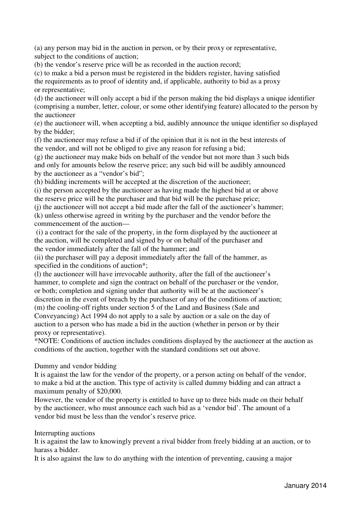(a) any person may bid in the auction in person, or by their proxy or representative, subject to the conditions of auction;

(b) the vendor's reserve price will be as recorded in the auction record;

(c) to make a bid a person must be registered in the bidders register, having satisfied the requirements as to proof of identity and, if applicable, authority to bid as a proxy or representative;

(d) the auctioneer will only accept a bid if the person making the bid displays a unique identifier (comprising a number, letter, colour, or some other identifying feature) allocated to the person by the auctioneer

(e) the auctioneer will, when accepting a bid, audibly announce the unique identifier so displayed by the bidder;

(f) the auctioneer may refuse a bid if of the opinion that it is not in the best interests of the vendor, and will not be obliged to give any reason for refusing a bid;

(g) the auctioneer may make bids on behalf of the vendor but not more than 3 such bids and only for amounts below the reserve price; any such bid will be audibly announced by the auctioneer as a "vendor's bid";

(h) bidding increments will be accepted at the discretion of the auctioneer;

(i) the person accepted by the auctioneer as having made the highest bid at or above the reserve price will be the purchaser and that bid will be the purchase price;

(j) the auctioneer will not accept a bid made after the fall of the auctioneer's hammer; (k) unless otherwise agreed in writing by the purchaser and the vendor before the commencement of the auction—

 (i) a contract for the sale of the property, in the form displayed by the auctioneer at the auction, will be completed and signed by or on behalf of the purchaser and the vendor immediately after the fall of the hammer; and

(ii) the purchaser will pay a deposit immediately after the fall of the hammer, as specified in the conditions of auction\*;

(l) the auctioneer will have irrevocable authority, after the fall of the auctioneer's hammer, to complete and sign the contract on behalf of the purchaser or the vendor, or both; completion and signing under that authority will be at the auctioneer's discretion in the event of breach by the purchaser of any of the conditions of auction; (m) the cooling-off rights under section 5 of the Land and Business (Sale and Conveyancing) Act 1994 do not apply to a sale by auction or a sale on the day of auction to a person who has made a bid in the auction (whether in person or by their proxy or representative).

\*NOTE: Conditions of auction includes conditions displayed by the auctioneer at the auction as conditions of the auction, together with the standard conditions set out above.

# Dummy and vendor bidding

It is against the law for the vendor of the property, or a person acting on behalf of the vendor, to make a bid at the auction. This type of activity is called dummy bidding and can attract a maximum penalty of \$20,000.

However, the vendor of the property is entitled to have up to three bids made on their behalf by the auctioneer, who must announce each such bid as a 'vendor bid'. The amount of a vendor bid must be less than the vendor's reserve price.

#### Interrupting auctions

It is against the law to knowingly prevent a rival bidder from freely bidding at an auction, or to harass a bidder.

It is also against the law to do anything with the intention of preventing, causing a major